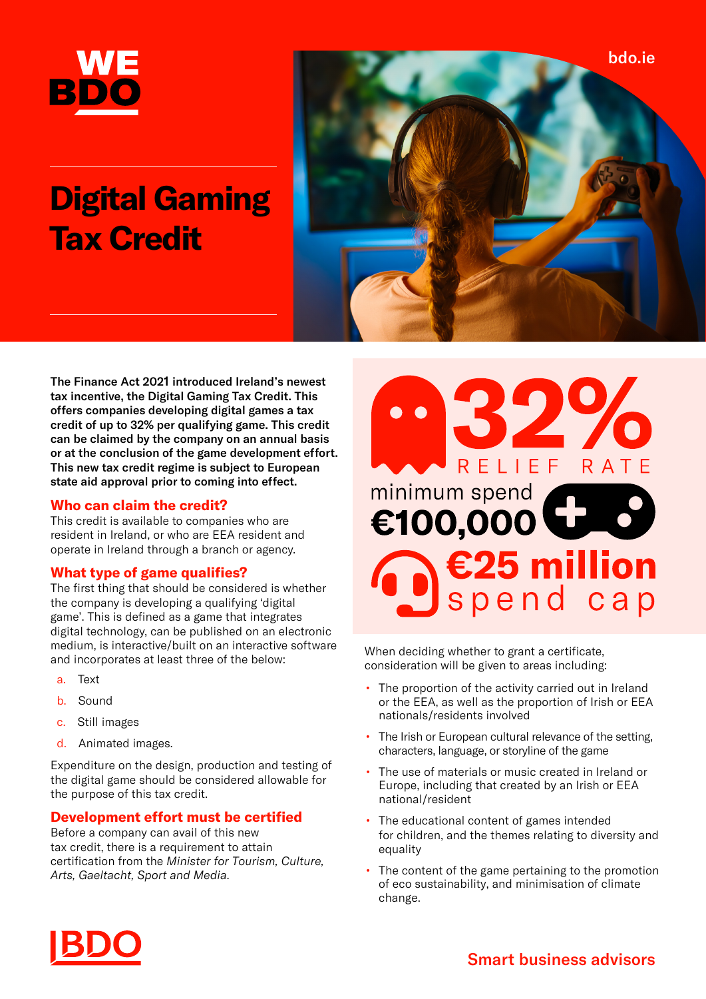

# **Digital Gaming Tax Credit**



The Finance Act 2021 introduced Ireland's newest tax incentive, the Digital Gaming Tax Credit. This offers companies developing digital games a tax credit of up to 32% per qualifying game. This credit can be claimed by the company on an annual basis or at the conclusion of the game development effort. This new tax credit regime is subject to European state aid approval prior to coming into effect.

# **Who can claim the credit?**

This credit is available to companies who are resident in Ireland, or who are EEA resident and operate in Ireland through a branch or agency.

# **What type of game qualifies?**

The first thing that should be considered is whether the company is developing a qualifying 'digital game'. This is defined as a game that integrates digital technology, can be published on an electronic medium, is interactive/built on an interactive software and incorporates at least three of the below:

- a. Text
- b. Sound
- c. Still images
- d. Animated images.

Expenditure on the design, production and testing of the digital game should be considered allowable for the purpose of this tax credit.

# **Development effort must be certified**

Before a company can avail of this new tax credit, there is a requirement to attain certification from the *Minister for Tourism, Culture, Arts, Gaeltacht, Sport and Media*.



When deciding whether to grant a certificate, consideration will be given to areas including:

- The proportion of the activity carried out in Ireland or the EEA, as well as the proportion of Irish or EEA nationals/residents involved
- The Irish or European cultural relevance of the setting, characters, language, or storyline of the game
- The use of materials or music created in Ireland or Europe, including that created by an Irish or EEA national/resident
- The educational content of games intended for children, and the themes relating to diversity and equality
- The content of the game pertaining to the promotion of eco sustainability, and minimisation of climate change.

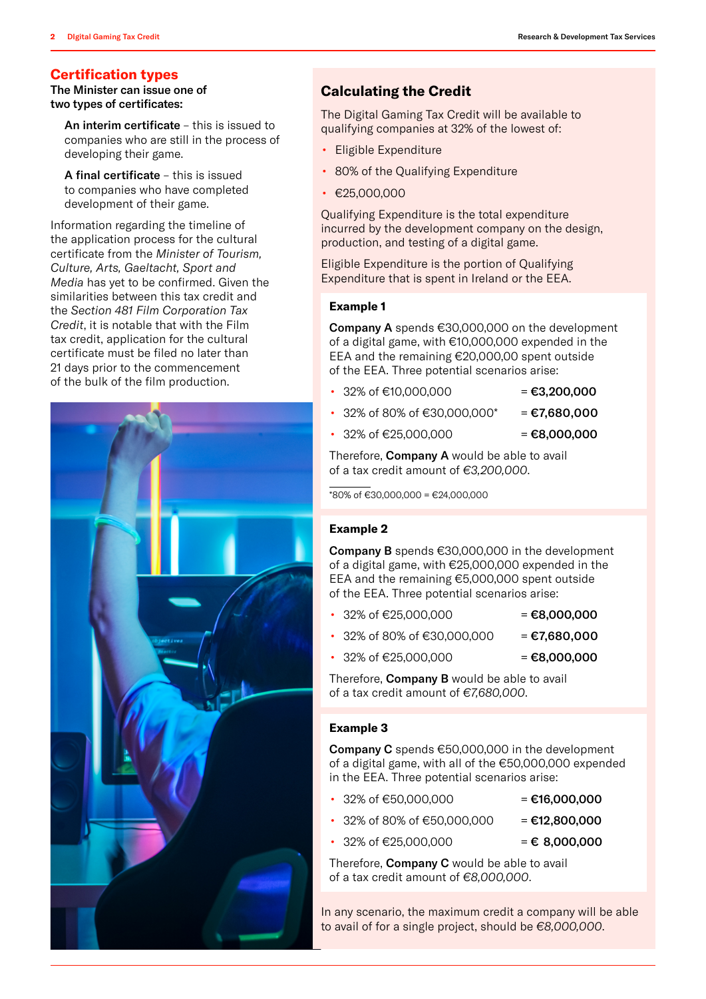# **Certification types**

The Minister can issue one of two types of certificates:

An interim certificate – this is issued to companies who are still in the process of developing their game.

A final certificate – this is issued to companies who have completed development of their game.

Information regarding the timeline of the application process for the cultural certificate from the *Minister of Tourism, Culture, Arts, Gaeltacht, Sport and Media* has yet to be confirmed. Given the similarities between this tax credit and the *Section 481 Film Corporation Tax Credit*, it is notable that with the Film tax credit, application for the cultural certificate must be filed no later than 21 days prior to the commencement of the bulk of the film production.



# **Calculating the Credit**

The Digital Gaming Tax Credit will be available to qualifying companies at 32% of the lowest of:

- Eligible Expenditure
- 80% of the Qualifying Expenditure
- €25,000,000

Qualifying Expenditure is the total expenditure incurred by the development company on the design, production, and testing of a digital game.

Eligible Expenditure is the portion of Qualifying Expenditure that is spent in Ireland or the EEA.

### **Example 1**

Company A spends €30,000,000 on the development of a digital game, with €10,000,000 expended in the EEA and the remaining €20,000,00 spent outside of the EEA. Three potential scenarios arise:

- 32% of €10,000,000 = €3,200,000
- 32% of 80% of €30,000,000\* = €7,680,000
- 32% of €25,000,000 = €8,000,000

Therefore, **Company A** would be able to avail of a tax credit amount of *€3,200,000*.

 $\sqrt{80\% \text{ of } \in 30,000,000} = \text{\textsterling}24,000,000$ 

#### **Example 2**

Company B spends €30,000,000 in the development of a digital game, with €25,000,000 expended in the EEA and the remaining €5,000,000 spent outside of the EEA. Three potential scenarios arise:

- $32\% \text{ of } \in 25,000,000$  =  $\in 8,000,000$
- 32% of 80% of €30,000,000 = €7,680,000
- 32% of €25,000,000 = €8,000,000

Therefore, **Company B** would be able to avail of a tax credit amount of *€7,680,000*.

#### **Example 3**

Company C spends €50,000,000 in the development of a digital game, with all of the €50,000,000 expended in the EEA. Three potential scenarios arise:

- $32\% \text{ of } \in 50,000,000$  = €16,000,000
- 32% of 80% of €50,000,000 = €12,800,000
- - $32\%$  of €25,000,000 = € 8,000,000
		-

Therefore, Company C would be able to avail of a tax credit amount of *€8,000,000*.

In any scenario, the maximum credit a company will be able to avail of for a single project, should be *€8,000,000*.